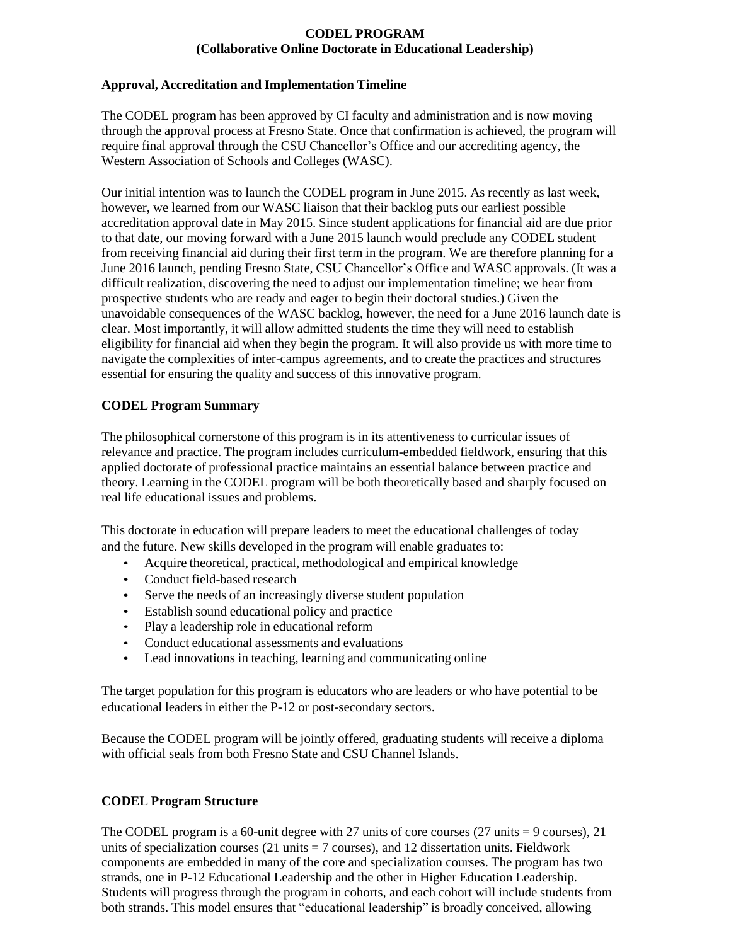### **CODEL PROGRAM (Collaborative Online Doctorate in Educational Leadership)**

### **Approval, Accreditation and Implementation Timeline**

The CODEL program has been approved by CI faculty and administration and is now moving through the approval process at Fresno State. Once that confirmation is achieved, the program will require final approval through the CSU Chancellor's Office and our accrediting agency, the Western Association of Schools and Colleges (WASC).

Our initial intention was to launch the CODEL program in June 2015. As recently as last week, however, we learned from our WASC liaison that their backlog puts our earliest possible accreditation approval date in May 2015. Since student applications for financial aid are due prior to that date, our moving forward with a June 2015 launch would preclude any CODEL student from receiving financial aid during their first term in the program. We are therefore planning for a June 2016 launch, pending Fresno State, CSU Chancellor's Office and WASC approvals. (It was a difficult realization, discovering the need to adjust our implementation timeline; we hear from prospective students who are ready and eager to begin their doctoral studies.) Given the unavoidable consequences of the WASC backlog, however, the need for a June 2016 launch date is clear. Most importantly, it will allow admitted students the time they will need to establish eligibility for financial aid when they begin the program. It will also provide us with more time to navigate the complexities of inter-campus agreements, and to create the practices and structures essential for ensuring the quality and success of this innovative program.

## **CODEL Program Summary**

The philosophical cornerstone of this program is in its attentiveness to curricular issues of relevance and practice. The program includes curriculum-embedded fieldwork, ensuring that this applied doctorate of professional practice maintains an essential balance between practice and theory. Learning in the CODEL program will be both theoretically based and sharply focused on real life educational issues and problems.

This doctorate in education will prepare leaders to meet the educational challenges of today and the future. New skills developed in the program will enable graduates to:

- Acquire theoretical, practical, methodological and empirical knowledge
- Conduct field-based research
- Serve the needs of an increasingly diverse student population
- Establish sound educational policy and practice
- Play a leadership role in educational reform
- Conduct educational assessments and evaluations
- Lead innovations in teaching, learning and communicating online

The target population for this program is educators who are leaders or who have potential to be educational leaders in either the P-12 or post-secondary sectors.

Because the CODEL program will be jointly offered, graduating students will receive a diploma with official seals from both Fresno State and CSU Channel Islands.

# **CODEL Program Structure**

The CODEL program is a 60-unit degree with 27 units of core courses (27 units = 9 courses), 21 units of specialization courses (21 units  $= 7$  courses), and 12 dissertation units. Fieldwork components are embedded in many of the core and specialization courses. The program has two strands, one in P-12 Educational Leadership and the other in Higher Education Leadership. Students will progress through the program in cohorts, and each cohort will include students from both strands. This model ensures that "educational leadership" is broadly conceived, allowing